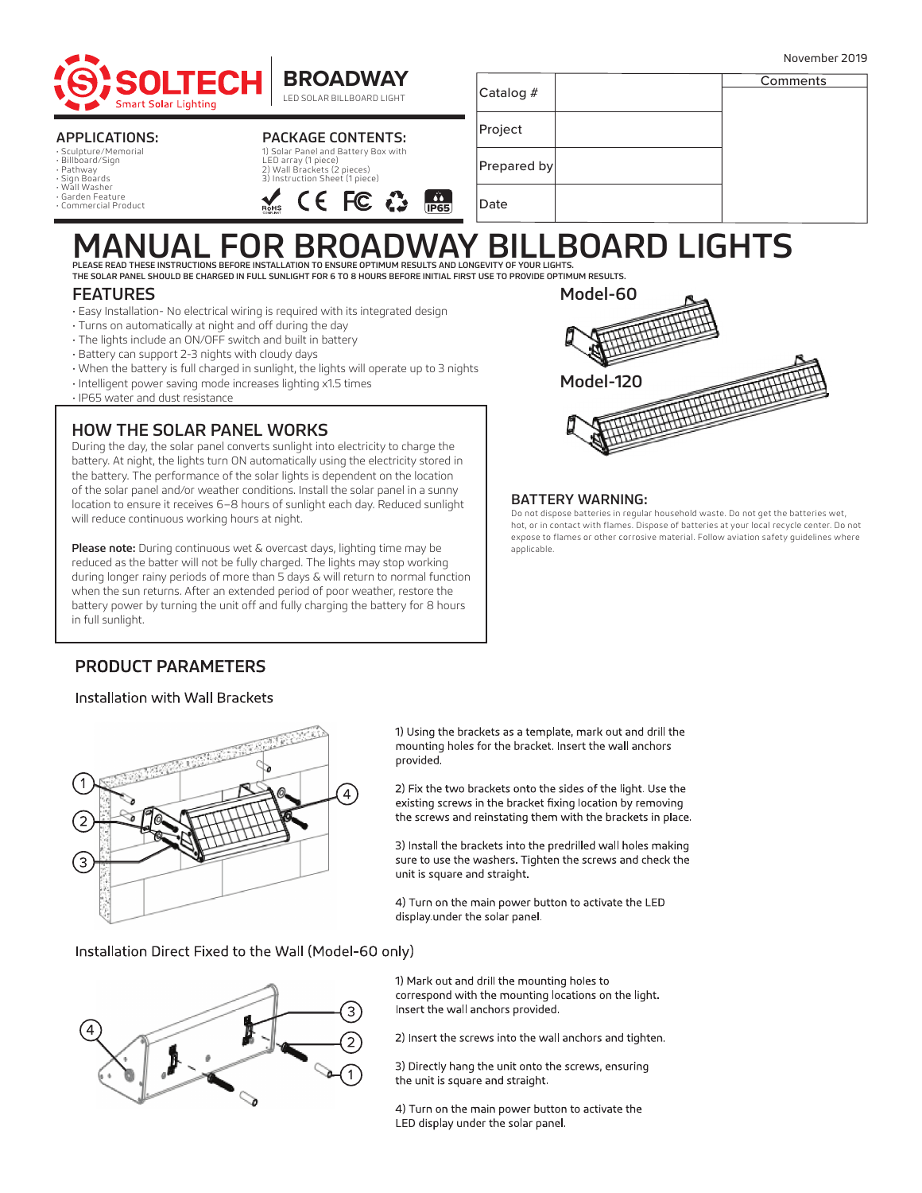





| Catalog #   | Comments |
|-------------|----------|
| Project     |          |
| Prepared by |          |
| $D = 4$     |          |

#### APPLICATIONS:

• Sculpture/Memorial • Billboard/Sign • Pathway • Sign Boards • Wall Washer

• Garden Feature

• Commercial Product

#### PACKAGE CONTENTS: 1) Solar Panel and Battery Box with

LED array (1 piece) 2) Wall Brackets (2 pieces) 3) Instruction Sheet (1 piece) CE FC

| JAV RII<br>ROARD |             |  |  |  |
|------------------|-------------|--|--|--|
| <b>IP65</b>      | Date        |  |  |  |
|                  | Prepared by |  |  |  |
|                  |             |  |  |  |

# MANUAL FOR BROADWAY BILLBOARD ARD LIGHTS.<br>PLEASE READ THESE INSTRUCTIONS BEFORE INSTALLATION TO ENSURE OPTIMUM RESULTS AND LONGEVITY OF YOUR LIGHTS.<br>THE SOLAR PANEL SHOULD BE CHARGED IN FULL SUNLIGHT FOR 6 TO 8 HOURS BEFOR

#### FEATURES

- Easy Installation- No electrical wiring is required with its integrated design
- Turns on automatically at night and off during the day
- The lights include an ON/OFF switch and built in battery
- Battery can support 2-3 nights with cloudy days
- When the battery is full charged in sunlight, the lights will operate up to 3 nights
- Intelligent power saving mode increases lighting x1.5 times
- IP65 water and dust resistance

### HOW THE SOLAR PANEL WORKS

During the day, the solar panel converts sunlight into electricity to charge the battery. At night, the lights turn ON automatically using the electricity stored in the battery. The performance of the solar lights is dependent on the location of the solar panel and/or weather conditions. Install the solar panel in a sunny location to ensure it receives 6–8 hours of sunlight each day. Reduced sunlight will reduce continuous working hours at night.

Please note: During continuous wet & overcast days, lighting time may be reduced as the batter will not be fully charged. The lights may stop working during longer rainy periods of more than 5 days & will return to normal function when the sun returns. After an extended period of poor weather, restore the battery power by turning the unit off and fully charging the battery for 8 hours in full sunlight.



#### BATTERY WARNING:

Do not dispose batteries in regular household waste. Do not get the batteries wet, hot, or in contact with flames. Dispose of batteries at your local recycle center. Do not expose to flames or other corrosive material. Follow aviation safety guidelines where applicable.

## **PRODUCT PARAMETERS**

#### Installation with Wall Brackets



1) Using the brackets as a template, mark out and drill the mounting holes for the bracket. Insert the wall anchors provided.

2) Fix the two brackets onto the sides of the light. Use the existing screws in the bracket fixing location by removing the screws and reinstating them with the brackets in place.

3) Install the brackets into the predrilled wall holes making sure to use the washers. Tighten the screws and check the unit is square and straight.

4) Turn on the main power button to activate the LED display under the solar panel.

Installation Direct Fixed to the Wall (Model-60 only)



1) Mark out and drill the mounting holes to correspond with the mounting locations on the light. Insert the wall anchors provided.

2) Insert the screws into the wall anchors and tighten.

3) Directly hang the unit onto the screws, ensuring the unit is square and straight.

4) Turn on the main power button to activate the LED display under the solar panel.